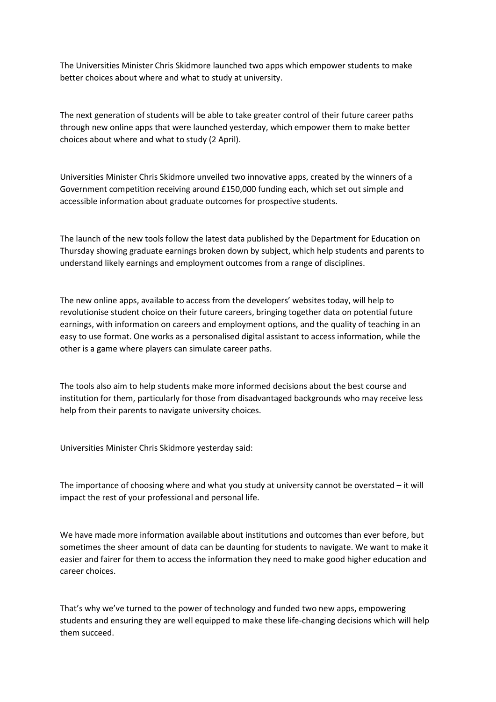The Universities Minister Chris Skidmore launched two apps which empower students to make better choices about where and what to study at university.

The next generation of students will be able to take greater control of their future career paths through new online apps that were launched yesterday, which empower them to make better choices about where and what to study (2 April).

Universities Minister Chris Skidmore unveiled two innovative apps, created by the winners of a Government competition receiving around £150,000 funding each, which set out simple and accessible information about graduate outcomes for prospective students.

The launch of the new tools follow the latest data published by the Department for Education on Thursday showing graduate earnings broken down by subject, which help students and parents to understand likely earnings and employment outcomes from a range of disciplines.

The new online apps, available to access from the developers' websites today, will help to revolutionise student choice on their future careers, bringing together data on potential future earnings, with information on careers and employment options, and the quality of teaching in an easy to use format. One works as a personalised digital assistant to access information, while the other is a game where players can simulate career paths.

The tools also aim to help students make more informed decisions about the best course and institution for them, particularly for those from disadvantaged backgrounds who may receive less help from their parents to navigate university choices.

Universities Minister Chris Skidmore yesterday said:

The importance of choosing where and what you study at university cannot be overstated – it will impact the rest of your professional and personal life.

We have made more information available about institutions and outcomes than ever before, but sometimes the sheer amount of data can be daunting for students to navigate. We want to make it easier and fairer for them to access the information they need to make good higher education and career choices.

That's why we've turned to the power of technology and funded two new apps, empowering students and ensuring they are well equipped to make these life-changing decisions which will help them succeed.